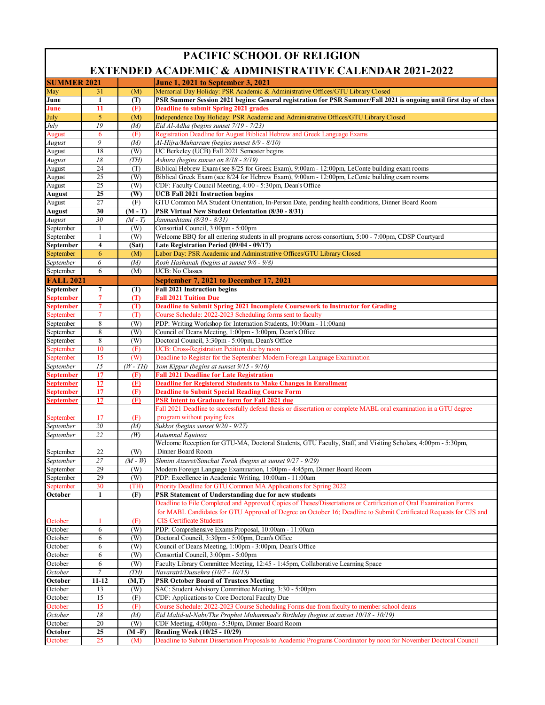| <b>PACIFIC SCHOOL OF RELIGION</b> |              |                    |                                                                                                                                                       |  |  |  |  |
|-----------------------------------|--------------|--------------------|-------------------------------------------------------------------------------------------------------------------------------------------------------|--|--|--|--|
|                                   |              |                    | <b>EXTENDED ACADEMIC &amp; ADMINISTRATIVE CALENDAR 2021-2022</b>                                                                                      |  |  |  |  |
| <b>SUMMER 2021</b>                |              |                    | <b>June 1, 2021 to September 3, 2021</b>                                                                                                              |  |  |  |  |
| May                               | 31           | (M)                | Memorial Day Holiday: PSR Academic & Administrative Offices/GTU Library Closed                                                                        |  |  |  |  |
| June                              | 1            | (T)                | PSR Summer Session 2021 begins: General registration for PSR Summer/Fall 2021 is ongoing until first day of class                                     |  |  |  |  |
| June                              | 11           | (F)                | <b>Deadline to submit Spring 2021 grades</b>                                                                                                          |  |  |  |  |
| July<br>July                      | 5<br>19      | (M)<br>(M)         | Independence Day Holiday: PSR Academic and Administrative Offices/GTU Library Closed<br>Eid Al-Adha (begins sunset 7/19 - 7/23)                       |  |  |  |  |
| August                            | 6            | (F)                | Registration Deadline for August Biblical Hebrew and Greek Language Exams                                                                             |  |  |  |  |
| August                            | 9            | (M)                | Al-Hijra/Muharram (begins sunset 8/9 - 8/10)                                                                                                          |  |  |  |  |
| August                            | 18           | (W)                | UC Berkeley (UCB) Fall 2021 Semester begins                                                                                                           |  |  |  |  |
| August                            | 18           | (TH)               | Ashura (begins sunset on 8/18 - 8/19)                                                                                                                 |  |  |  |  |
| August                            | 24           | (T)                | Biblical Hebrew Exam (see 8/25 for Greek Exam), 9:00am - 12:00pm, LeConte building exam rooms                                                         |  |  |  |  |
| August                            | 25           | (W)                | Biblical Greek Exam (see 8/24 for Hebrew Exam), 9:00am - 12:00pm, LeConte building exam rooms                                                         |  |  |  |  |
| August                            | 25           | (W)                | CDF: Faculty Council Meeting, 4:00 - 5:30pm, Dean's Office                                                                                            |  |  |  |  |
| August                            | 25           | (W)                | <b>UCB Fall 2021 Instruction begins</b>                                                                                                               |  |  |  |  |
| August                            | 27           | (F)                | GTU Common MA Student Orientation, In-Person Date, pending health conditions, Dinner Board Room<br>PSR Virtual New Student Orientation (8/30 - 8/31)  |  |  |  |  |
| August<br>August                  | 30<br>30     | $(M-T)$<br>$(M-T)$ | Janmashtami (8/30 - 8/31)                                                                                                                             |  |  |  |  |
| September                         | $\mathbf{1}$ | (W)                | Consortial Council, 3:00pm - 5:00pm                                                                                                                   |  |  |  |  |
| September                         | $\mathbf{1}$ | (W)                | Welcome BBQ for all entering students in all programs across consortium, 5:00 - 7:00pm, CDSP Courtyard                                                |  |  |  |  |
| September                         | 4            | (Sat)              | Late Registration Period (09/04 - 09/17)                                                                                                              |  |  |  |  |
| September                         | 6            | (M)                | Labor Day: PSR Academic and Administrative Offices/GTU Library Closed                                                                                 |  |  |  |  |
| September                         | 6            | (M)                | Rosh Hashanah (begins at sunset 9/6 - 9/8)                                                                                                            |  |  |  |  |
| September                         | 6            | (M)                | <b>UCB: No Classes</b>                                                                                                                                |  |  |  |  |
| <b>FALL 2021</b>                  |              |                    | <b>September 7, 2021 to December 17, 2021</b>                                                                                                         |  |  |  |  |
| September                         | 7            | (T)                | <b>Fall 2021 Instruction begins</b>                                                                                                                   |  |  |  |  |
| <b>September</b>                  | 7            | (T)                | <b>Fall 2021 Tuition Due</b>                                                                                                                          |  |  |  |  |
| <b>September</b>                  | 7            | (T)                | <b>Deadline to Submit Spring 2021 Incomplete Coursework to Instructor for Grading</b>                                                                 |  |  |  |  |
| September                         | 7            | (T)                | Course Schedule: 2022-2023 Scheduling forms sent to faculty                                                                                           |  |  |  |  |
| September<br>September            | 8<br>8       | (W)                | PDP: Writing Workshop for Internation Students, 10:00am - 11:00am)<br>Council of Deans Meeting, 1:00pm - 3:00pm, Dean's Office                        |  |  |  |  |
| September                         | 8            | (W)<br>(W)         | Doctoral Council, 3:30pm - 5:00pm, Dean's Office                                                                                                      |  |  |  |  |
| September                         | 10           | (F)                | UCB: Cross-Registration Petition due by noon                                                                                                          |  |  |  |  |
| September                         | 15           | (W)                | Deadline to Register for the September Modern Foreign Language Examination                                                                            |  |  |  |  |
| September                         | 15           | $(W-TH)$           | Yom Kippur (begins at sunset 9/15 - 9/16)                                                                                                             |  |  |  |  |
| <u>September</u>                  | 17           | (F)                | <b>Fall 2021 Deadline for Late Registration</b>                                                                                                       |  |  |  |  |
| <b>September</b>                  | 17           | (F)                | <b>Deadline for Registered Students to Make Changes in Enrollment</b>                                                                                 |  |  |  |  |
| September                         | 17           | (F)                | <b>Deadline to Submit Special Reading Course Form</b>                                                                                                 |  |  |  |  |
| September                         | 17           | (F)                | <b>PSR Intent to Graduate form for Fall 2021 due</b>                                                                                                  |  |  |  |  |
|                                   |              |                    | Fall 2021 Deadline to successfully defend thesis or dissertation or complete MABL oral examination in a GTU degree<br>program without paying fees     |  |  |  |  |
| September<br>September            | 17<br>20     | (F)<br>(M)         | Sukkot (begins sunset 9/20 - 9/27)                                                                                                                    |  |  |  |  |
| September                         | 22           | (W)                | Autumnal Equinox                                                                                                                                      |  |  |  |  |
|                                   |              |                    | Welcome Reception for GTU-MA, Doctoral Students, GTU Faculty, Staff, and Visiting Scholars, 4:00pm - 5:30pm,                                          |  |  |  |  |
| September                         | 22           | (W)                | Dinner Board Room                                                                                                                                     |  |  |  |  |
| September                         | 27           | $(M-W)$            | Shmini Atzeret/Simchat Torah (begins at sunset 9/27 - 9/29)                                                                                           |  |  |  |  |
| September                         | 29           | (W)                | Modern Foreign Language Examination, 1:00pm - 4:45pm, Dinner Board Room                                                                               |  |  |  |  |
| September                         | 29           | (W)                | PDP: Excellence in Academic Writing, 10:00am - 11:00am                                                                                                |  |  |  |  |
| September                         | 30           | (TH)               | Priority Deadline for GTU Common MA Applications for Spring 2022                                                                                      |  |  |  |  |
| October                           | 1            | (F)                | PSR Statement of Understanding due for new students                                                                                                   |  |  |  |  |
|                                   |              |                    | Deadline to File Completed and Approved Copies of Theses/Dissertations or Certification of Oral Examination Forms                                     |  |  |  |  |
|                                   |              |                    | for MABL Candidates for GTU Approval of Degree on October 16; Deadline to Submit Certificated Requests for CJS and<br><b>CIS Certificate Students</b> |  |  |  |  |
| October<br>October                | 1<br>6       | (F)<br>(W)         | PDP: Comprehensive Exams Proposal, 10:00am - 11:00am                                                                                                  |  |  |  |  |
| October                           | 6            | (W)                | Doctoral Council, 3:30pm - 5:00pm, Dean's Office                                                                                                      |  |  |  |  |
| October                           | 6            | (W)                | Council of Deans Meeting, 1:00pm - 3:00pm, Dean's Office                                                                                              |  |  |  |  |
| October                           | 6            | (W)                | Consortial Council, 3:00pm - 5:00pm                                                                                                                   |  |  |  |  |
| October                           | 6            | (W)                | Faculty Library Committee Meeting, 12:45 - 1:45pm, Collaborative Learning Space                                                                       |  |  |  |  |
| October                           | 7            | (TH)               | Navaratri/Dussehra (10/7 - 10/15)                                                                                                                     |  |  |  |  |
| October                           | $11 - 12$    | (M,T)              | <b>PSR October Board of Trustees Meeting</b>                                                                                                          |  |  |  |  |
| October                           | 13           | (W)                | SAC: Student Advisory Committee Meeting, 3:30 - 5:00pm                                                                                                |  |  |  |  |
| October                           | 15           | (F)                | CDF: Applications to Core Doctoral Faculty Due                                                                                                        |  |  |  |  |
| October                           | 15           | (F)                | Course Schedule: 2022-2023 Course Scheduling Forms due from faculty to member school deans                                                            |  |  |  |  |
| October<br>October                | $18\,$<br>20 | (M)<br>(W)         | Eid Malid-ul-Nabi/The Prophet Muhammad's Birthday (begins at sunset 10/18 - 10/19)<br>CDF Meeting, 4:00pm - 5:30pm, Dinner Board Room                 |  |  |  |  |
| October                           | 25           | (M -F)             | Reading Week (10/25 - 10/29)                                                                                                                          |  |  |  |  |
| October                           | 25           | (M)                | Deadline to Submit Dissertation Proposals to Academic Programs Coordinator by noon for November Doctoral Council                                      |  |  |  |  |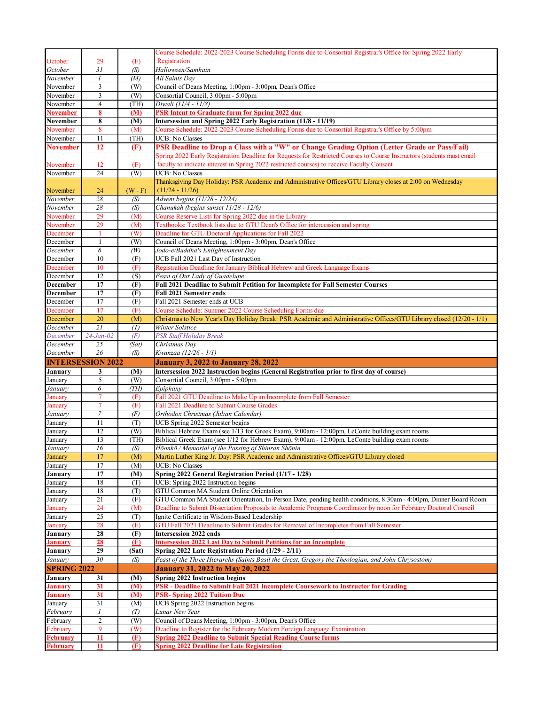|                                    |                          |           | Course Schedule: 2022-2023 Course Scheduling Forms due to Consortial Registrar's Office for Spring 2022 Early           |
|------------------------------------|--------------------------|-----------|-------------------------------------------------------------------------------------------------------------------------|
| October                            |                          |           | Registration                                                                                                            |
|                                    | 29<br>31                 | (F)       | Halloween/Samhain                                                                                                       |
| October                            |                          | (S)       |                                                                                                                         |
| November                           | $\overline{I}$           | (M)       | All Saints Day                                                                                                          |
| November                           | 3                        | (W)       | Council of Deans Meeting, 1:00pm - 3:00pm, Dean's Office                                                                |
| November                           | 3                        | (W)       | Consortial Council, 3:00pm - 5:00pm                                                                                     |
| November                           | $\overline{4}$           | (TH)      | Diwali (11/4 - 11/8)                                                                                                    |
| <b>November</b>                    | 8                        | (M)       | <b>PSR Intent to Graduate form for Spring 2022 due</b>                                                                  |
| November                           | 8                        | (M)       | Intersession and Spring 2022 Early Registration (11/8 - 11/19)                                                          |
| November                           | 8                        | (M)       | Course Schedule: 2022-2023 Course Scheduling Forms due to Consortial Registrar's Office by 5:00pm                       |
| November                           | 11                       | (TH)      | <b>UCB: No Classes</b>                                                                                                  |
| <b>November</b>                    | 12                       | (F)       | PSR Deadline to Drop a Class with a "W" or Change Grading Option (Letter Grade or Pass/Fail)                            |
|                                    |                          |           | Spring 2022 Early Registration Deadline for Requests for Restricted Courses to Course Instructors (students must email  |
|                                    |                          |           |                                                                                                                         |
| November                           | 12                       | (F)       | faculty to indicate interest in Spring 2022 restricted courses) to receive Faculty Consent                              |
| November                           | 24                       | (W)       | <b>UCB: No Classes</b>                                                                                                  |
|                                    |                          |           | Thanksgiving Day Holiday: PSR Academic and Administrative Offices/GTU Library closes at 2:00 on Wednesday               |
| November                           | 24                       | $(W - F)$ | $(11/24 - 11/26)$                                                                                                       |
| November                           | 28                       | (S)       | Advent begins (11/28 - 12/24)                                                                                           |
| November                           | 28                       | (S)       | Chanukah (begins sunset 11/28 - 12/6)                                                                                   |
| November                           | 29                       | (M)       | Course Reserve Lists for Spring 2022 due in the Library                                                                 |
| November                           | 29                       | (M)       | Textbooks: Textbook lists due to GTU Dean's Office for intercession and spring                                          |
|                                    |                          |           |                                                                                                                         |
| December                           | 1                        | (W)       | Deadline for GTU Doctoral Applications for Fall 2022                                                                    |
| December                           | $\mathbf{1}$             | (W)       | Council of Deans Meeting, 1:00pm - 3:00pm, Dean's Office                                                                |
| December                           | 8                        | (W)       | Jodo-e/Buddha's Enlightenment Day                                                                                       |
| December                           | 10                       | (F)       | UCB Fall 2021 Last Day of Instruction                                                                                   |
| December                           | 10                       | (F)       | Registration Deadline for January Biblical Hebrew and Greek Language Exams                                              |
| December                           | 12                       | (S)       | Feast of Our Lady of Guadelupe                                                                                          |
| December                           | $\overline{17}$          | (F)       | Fall 2021 Deadline to Submit Petition for Incomplete for Fall Semester Courses                                          |
| December                           | 17                       | (F)       | <b>Fall 2021 Semester ends</b>                                                                                          |
| December                           | 17                       | (F)       | Fall 2021 Semester ends at UCB                                                                                          |
| December                           | 17                       | (F)       | Course Schedule: Summer 2022 Course Scheduling Forms due                                                                |
|                                    |                          |           |                                                                                                                         |
| December                           | 20                       | (M)       | Christmas to New Year's Day Holiday Break: PSR Academic and Administrative Offices/GTU Library closed (12/20 - 1/1)     |
| December                           | 21                       | (T)       | Winter Solstice                                                                                                         |
|                                    |                          |           |                                                                                                                         |
| December                           | $24 - Jan - 02$          | (F)       | PSR Staff Holiday Break                                                                                                 |
| December                           | 25                       | (Sat)     | Christmas Day                                                                                                           |
| December                           | $\overline{26}$          | (S)       | Kwanzaa (12/26 - 1/1)                                                                                                   |
|                                    | <b>INTERSESSION 2022</b> |           | January 3, 2022 to January 28, 2022                                                                                     |
| January                            | 3                        | (M)       |                                                                                                                         |
|                                    |                          |           | Intersession 2022 Instruction begins (General Registration prior to first day of course)                                |
| January                            | 5                        | (W)       | Consortial Council, 3:00pm - 5:00pm                                                                                     |
| <del>J</del> anuary                | 6                        | (TH)      | Epiphany                                                                                                                |
| January                            | $\tau$                   | (F)       | Fall 2021 GTU Deadline to Make Up an Incomplete from Fall Semester                                                      |
| January                            | 7                        | (F)       | Fall 2021 Deadline to Submit Course Grades                                                                              |
| January                            | $\boldsymbol{7}$         | (F)       | Orthodox Christmas (Julian Calendar)                                                                                    |
| January                            | 11                       | (T)       | UCB Spring 2022 Semester begins                                                                                         |
| January                            | 12                       | (W)       | Biblical Hebrew Exam (see 1/13 for Greek Exam), 9:00am - 12:00pm, LeConte building exam rooms                           |
| January                            | 13                       | (TH)      | Biblical Greek Exam (see 1/12 for Hebrew Exam), 9:00am - 12:00pm, LeConte building exam rooms                           |
| January                            | 16                       | (S)       | Hōonkō / Memorial of the Passing of Shinran Shōnin                                                                      |
| January                            | 17                       | (M)       | Martin Luther King Jr. Day: PSR Academic and Administrative Offices/GTU Library closed                                  |
| January                            | 17                       | (M)       | <b>UCB: No Classes</b>                                                                                                  |
| January                            | 17                       | (M)       | Spring 2022 General Registration Period (1/17 - 1/28)                                                                   |
| January                            | 18                       | (T)       | UCB: Spring 2022 Instruction begins                                                                                     |
|                                    |                          |           |                                                                                                                         |
| January                            | 18                       | (T)       | GTU Common MA Student Online Orientation                                                                                |
| January                            | 21                       | (F)       | GTU Common MA Student Orientation, In-Person Date, pending health conditions, 8:30am - 4:00pm, Dinner Board Room        |
| January                            | 24                       | (M)       | Deadline to Submit Dissertation Proposals to Academic Programs Coordinator by noon for February Doctoral Council        |
| January                            | 25                       | (T)       | Ignite Certificate in Wisdom-Based Leadership                                                                           |
| January                            | 28                       | (F)       | GTU Fall 2021 Deadline to Submit Grades for Removal of Incompletes from Fall Semester                                   |
| January                            | 28                       | (F)       | <b>Intersession 2022 ends</b>                                                                                           |
| <u>January</u>                     | 28                       | (F)       | <b>Intersession 2022 Last Day to Submit Petitions for an Incomplete</b>                                                 |
| January                            | 29                       | (Sat)     | Spring 2022 Late Registration Period (1/29 - 2/11)                                                                      |
| January                            | 30                       | (S)       | Feast of the Three Hierarchs (Saints Basil the Great, Gregory the Theologian, and John Chrysostom)                      |
| <b>SPRING 2022</b>                 |                          |           | <b>January 31, 2022 to May 20, 2022</b>                                                                                 |
|                                    |                          |           | Spring 2022 Instruction begins                                                                                          |
| January                            | 31                       | (M)       |                                                                                                                         |
| January                            | 31                       | (M)       | PSR - Deadline to Submit Fall 2021 Incomplete Coursework to Instructor for Grading                                      |
| <b>January</b>                     | 31                       | (M)       | <b>PSR-Spring 2022 Tuition Due</b>                                                                                      |
| January                            | 31                       | (M)       | UCB Spring 2022 Instruction begins                                                                                      |
| February                           | $\mathfrak{I}$           | (T)       | Lunar New Year                                                                                                          |
| February                           | $\overline{c}$           | (W)       | Council of Deans Meeting, 1:00pm - 3:00pm, Dean's Office                                                                |
| February                           | 9                        | (W)       | Deadline to Register for the February Modern Foreign Language Examination                                               |
| <b>February</b><br><b>February</b> | 11                       | (F)       | <b>Spring 2022 Deadline to Submit Special Reading Course forms</b><br><b>Spring 2022 Deadline for Late Registration</b> |